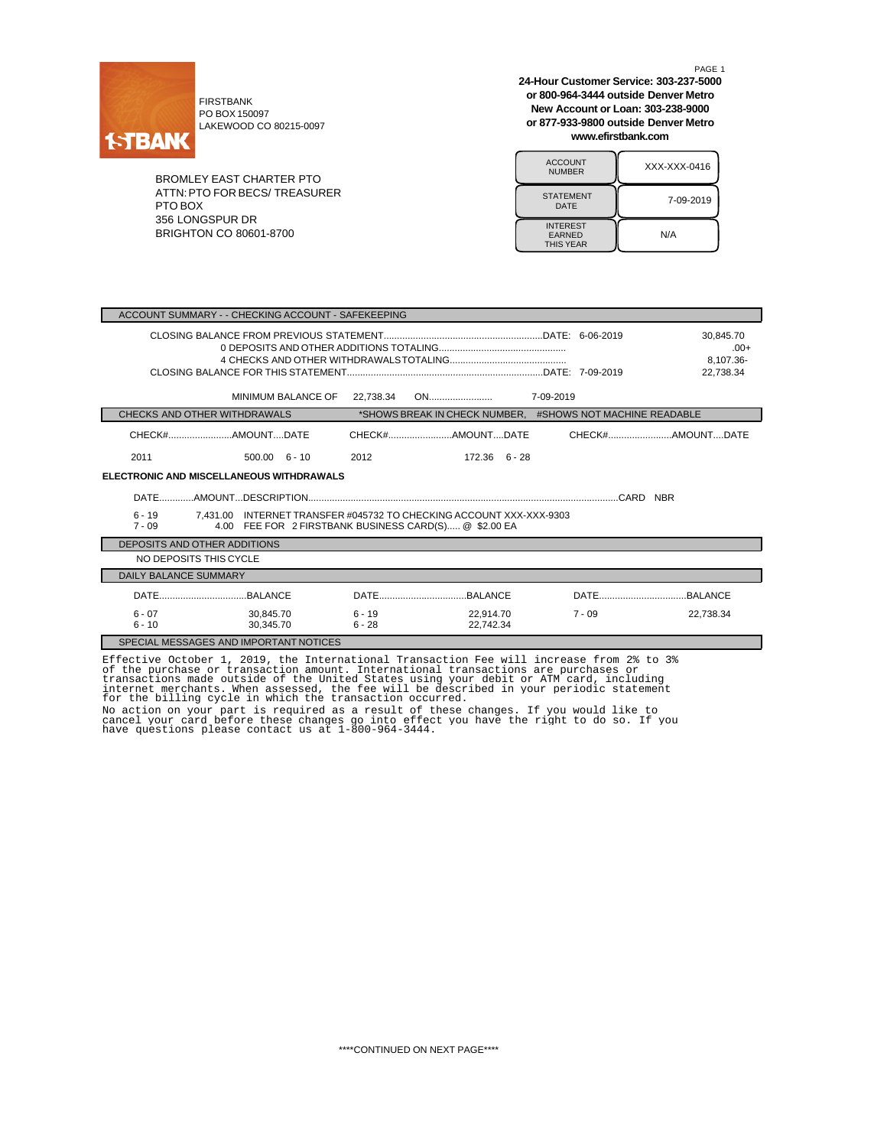

PTO BOX

356 LONGSPUR DR BRIGHTON CO 80601-8700

**FIRSTBANK** PO BOX 150097 LAKEWOOD CO 80215-0097

BROMLEY EAST CHARTER PTO ATTN:PTO FOR BECS/ TREASURER

PAGE 1 **24-Hour Customer Service: 303-237-5000 or 800-964-3444 outside Denver Metro New Account or Loan: 303-238-9000 or 877-933-9800 outside Denver Metro www.efirstbank.com**

ACCOUNT<br>NUMBER XXX-XXX-0416 STATEMENT<br>DATE 7-09-2019 INTEREST EARNED THIS YEAR N/A

| ACCOUNT SUMMARY - - CHECKING ACCOUNT - SAFEKEEPING                                                                                                   |                        |                      |                        |           |                                                           |                                               |
|------------------------------------------------------------------------------------------------------------------------------------------------------|------------------------|----------------------|------------------------|-----------|-----------------------------------------------------------|-----------------------------------------------|
|                                                                                                                                                      |                        |                      |                        |           |                                                           | 30.845.70<br>$.00+$<br>8.107.36-<br>22,738.34 |
|                                                                                                                                                      | MINIMUM BALANCE OF     | 22.738.34            |                        | 7-09-2019 |                                                           |                                               |
| CHECKS AND OTHER WITHDRAWALS                                                                                                                         |                        |                      |                        |           | *SHOWS BREAK IN CHECK NUMBER. #SHOWS NOT MACHINE READABLE |                                               |
| CHECK#AMOUNTDATE                                                                                                                                     |                        |                      |                        |           |                                                           |                                               |
| 2011                                                                                                                                                 | $500.00 \quad 6 - 10$  | 2012                 | 172.36 6 - 28          |           |                                                           |                                               |
| ELECTRONIC AND MISCELLANEOUS WITHDRAWALS                                                                                                             |                        |                      |                        |           |                                                           |                                               |
|                                                                                                                                                      |                        |                      |                        |           |                                                           |                                               |
| 7.431.00 INTERNET TRANSFER #045732 TO CHECKING ACCOUNT XXX-XXX-9303<br>$6 - 19$<br>$7 - 09$<br>4.00 FEE FOR 2 FIRSTBANK BUSINESS CARD(S) @ \$2.00 EA |                        |                      |                        |           |                                                           |                                               |
| DEPOSITS AND OTHER ADDITIONS                                                                                                                         |                        |                      |                        |           |                                                           |                                               |
| NO DEPOSITS THIS CYCLE                                                                                                                               |                        |                      |                        |           |                                                           |                                               |
| <b>DAILY BALANCE SUMMARY</b>                                                                                                                         |                        |                      |                        |           |                                                           |                                               |
|                                                                                                                                                      |                        |                      |                        |           |                                                           |                                               |
| $6 - 07$<br>$6 - 10$                                                                                                                                 | 30.845.70<br>30.345.70 | $6 - 19$<br>$6 - 28$ | 22.914.70<br>22.742.34 |           | $7 - 09$                                                  | 22.738.34                                     |
| SPECIAL MESSAGES AND IMPORTANT NOTICES                                                                                                               |                        |                      |                        |           |                                                           |                                               |

Effective October 1, 2019, the International Transaction Fee will increase from 2% to 3%<br>of the purchase or transaction amount. International transactions are purchases or<br>transactions made outside of the United States usi

No action on your part is required as a result of these changes. If you would like to<br>cancel your card before these changes go into effect you have the right to do so. If you<br>have questions please contact us at 1-800-964-3

\*\*\*\*CONTINUED ON NEXT PAGE\*\*\*\*